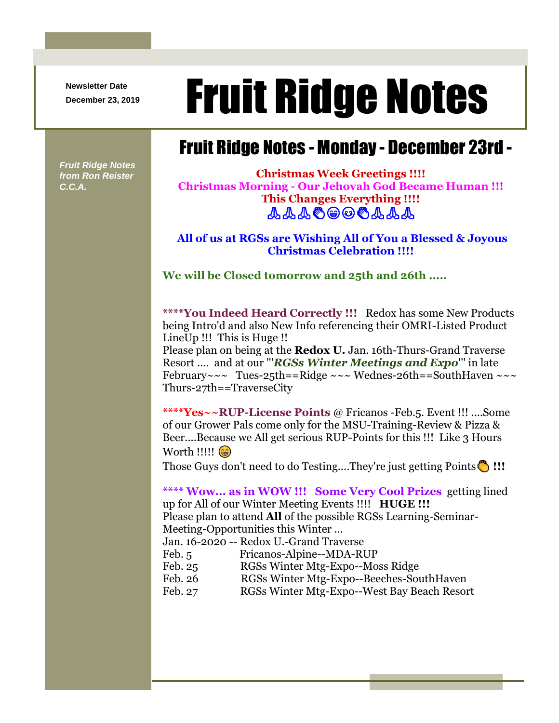**Newsletter Date**

## Newsletter Date **Fruit Ridge Notes**

## Fruit Ridge Notes - Monday - December 23rd -

**Fruit Ridge Notes** *from Ron Reister C.C.A.*

**Christmas Week Greetings !!!! Christmas Morning - Our Jehovah God Became Human !!! This Changes Everything !!!! &&&©@©©&&&** 

**All of us at RGSs are Wishing All of You a Blessed & Joyous Christmas Celebration !!!!**

**We will be Closed tomorrow and 25th and 26th .....**

**\*\*\*\*You Indeed Heard Correctly !!!** Redox has some New Products being Intro'd and also New Info referencing their OMRI-Listed Product LineUp !!! This is Huge !!

Please plan on being at the **Redox U.** Jan. 16th-Thurs-Grand Traverse Resort .... and at our '''*RGSs Winter Meetings and Expo*''' in late February~~~ Tues-25th==Ridge ~~~ Wednes-26th==SouthHaven ~~~ Thurs-27th==TraverseCity

**\*\*\*\*Yes~~RUP-License Points** @ Fricanos -Feb.5. Event !!! ....Some of our Grower Pals come only for the MSU-Training-Review & Pizza & Beer....Because we All get serious RUP-Points for this !!! Like 3 Hours Worth !!!!! (

Those Guys don't need to do Testing....They're just getting Points **!!!**

**\*\*\*\* Wow... as in WOW !!! Some Very Cool Prizes** getting lined up for All of our Winter Meeting Events !!!! **HUGE !!!**  Please plan to attend **All** of the possible RGSs Learning-Seminar-Meeting-Opportunities this Winter ...

Jan. 16-2020 -- Redox U.-Grand Traverse

| Feb. $5$ | Fricanos-Alpine--MDA-RUP |
|----------|--------------------------|
|          |                          |

- Feb. 25 RGSs Winter Mtg-Expo--Moss Ridge
- Feb. 26 RGSs Winter Mtg-Expo--Beeches-SouthHaven
- Feb. 27 RGSs Winter Mtg-Expo--West Bay Beach Resort